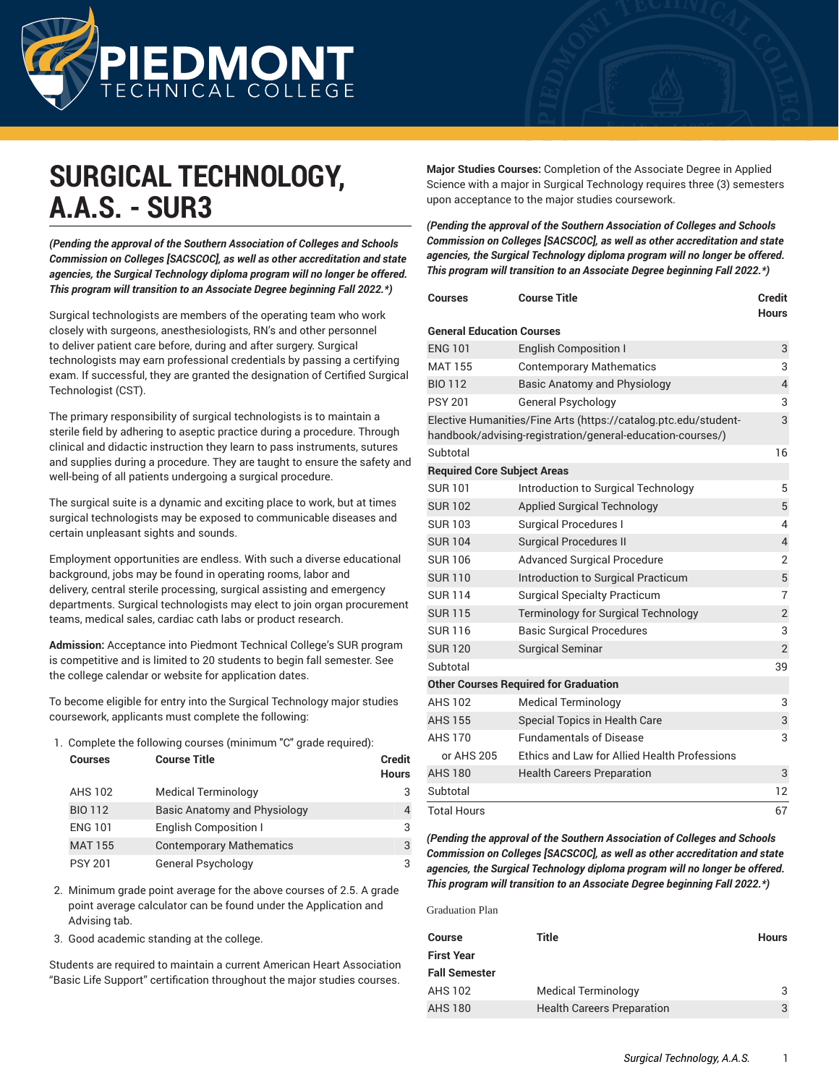

# **SURGICAL TECHNOLOGY, A.A.S. - SUR3**

*(Pending the approval of the Southern Association of Colleges and Schools Commission on Colleges [SACSCOC], as well as other accreditation and state agencies, the Surgical Technology diploma program will no longer be offered. This program will transition to an Associate Degree beginning Fall 2022.\*)*

Surgical technologists are members of the operating team who work closely with surgeons, anesthesiologists, RN's and other personnel to deliver patient care before, during and after surgery. Surgical technologists may earn professional credentials by passing a certifying exam. If successful, they are granted the designation of Certified Surgical Technologist (CST).

The primary responsibility of surgical technologists is to maintain a sterile field by adhering to aseptic practice during a procedure. Through clinical and didactic instruction they learn to pass instruments, sutures and supplies during a procedure. They are taught to ensure the safety and well-being of all patients undergoing a surgical procedure.

The surgical suite is a dynamic and exciting place to work, but at times surgical technologists may be exposed to communicable diseases and certain unpleasant sights and sounds.

Employment opportunities are endless. With such a diverse educational background, jobs may be found in operating rooms, labor and delivery, central sterile processing, surgical assisting and emergency departments. Surgical technologists may elect to join organ procurement teams, medical sales, cardiac cath labs or product research.

**Admission:** Acceptance into Piedmont Technical College's SUR program is competitive and is limited to 20 students to begin fall semester. See the college calendar or website for application dates.

To become eligible for entry into the Surgical Technology major studies coursework, applicants must complete the following:

1. Complete the following courses (minimum "C" grade required):

| <b>Courses</b> | <b>Course Title</b>             | <b>Credit</b><br><b>Hours</b> |
|----------------|---------------------------------|-------------------------------|
| <b>AHS 102</b> | <b>Medical Terminology</b>      |                               |
| <b>BIO 112</b> | Basic Anatomy and Physiology    |                               |
| <b>ENG 101</b> | <b>English Composition I</b>    | 3                             |
| <b>MAT 155</b> | <b>Contemporary Mathematics</b> | 3                             |
| <b>PSY 201</b> | General Psychology              |                               |

2. Minimum grade point average for the above courses of 2.5. A grade point average calculator can be found under the Application and Advising tab.

3. Good academic standing at the college.

Students are required to maintain a current American Heart Association "Basic Life Support" certification throughout the major studies courses.

**Major Studies Courses:** Completion of the Associate Degree in Applied Science with a major in Surgical Technology requires three (3) semesters upon acceptance to the major studies coursework.

*(Pending the approval of the Southern Association of Colleges and Schools Commission on Colleges [SACSCOC], as well as other accreditation and state agencies, the Surgical Technology diploma program will no longer be offered. This program will transition to an Associate Degree beginning Fall 2022.\*)*

| Courses                            | <b>Course Title</b>                                                                                                           | <b>Credit</b><br><b>Hours</b> |
|------------------------------------|-------------------------------------------------------------------------------------------------------------------------------|-------------------------------|
| <b>General Education Courses</b>   |                                                                                                                               |                               |
| <b>ENG 101</b>                     | <b>English Composition I</b>                                                                                                  | 3                             |
| <b>MAT 155</b>                     | <b>Contemporary Mathematics</b>                                                                                               | 3                             |
| <b>BIO 112</b>                     | Basic Anatomy and Physiology                                                                                                  | $\overline{4}$                |
| <b>PSY 201</b>                     | <b>General Psychology</b>                                                                                                     | 3                             |
|                                    | Elective Humanities/Fine Arts (https://catalog.ptc.edu/student-<br>handbook/advising-registration/general-education-courses/) | 3                             |
| Subtotal                           |                                                                                                                               | 16                            |
| <b>Required Core Subject Areas</b> |                                                                                                                               |                               |
| <b>SUR101</b>                      | Introduction to Surgical Technology                                                                                           | 5                             |
| <b>SUR102</b>                      | Applied Surgical Technology                                                                                                   | 5                             |
| <b>SUR103</b>                      | <b>Surgical Procedures I</b>                                                                                                  | 4                             |
| <b>SUR104</b>                      | <b>Surgical Procedures II</b>                                                                                                 | $\overline{4}$                |
| <b>SUR106</b>                      | <b>Advanced Surgical Procedure</b>                                                                                            | 2                             |
| <b>SUR110</b>                      | Introduction to Surgical Practicum                                                                                            | 5                             |
| <b>SUR114</b>                      | <b>Surgical Specialty Practicum</b>                                                                                           | 7                             |
| <b>SUR115</b>                      | Terminology for Surgical Technology                                                                                           | $\sqrt{2}$                    |
| <b>SUR116</b>                      | <b>Basic Surgical Procedures</b>                                                                                              | 3                             |
| <b>SUR120</b>                      | <b>Surgical Seminar</b>                                                                                                       | $\overline{2}$                |
| Subtotal                           |                                                                                                                               | 39                            |
|                                    | <b>Other Courses Required for Graduation</b>                                                                                  |                               |
| <b>AHS 102</b>                     | <b>Medical Terminology</b>                                                                                                    | 3                             |
| <b>AHS 155</b>                     | Special Topics in Health Care                                                                                                 | 3                             |
| <b>AHS 170</b>                     | <b>Fundamentals of Disease</b>                                                                                                | 3                             |
| or AHS 205                         | Ethics and Law for Allied Health Professions                                                                                  |                               |
| <b>AHS 180</b>                     | <b>Health Careers Preparation</b>                                                                                             | 3                             |
| Subtotal                           |                                                                                                                               | 12                            |
| <b>Total Hours</b>                 |                                                                                                                               | 67                            |

*(Pending the approval of the Southern Association of Colleges and Schools Commission on Colleges [SACSCOC], as well as other accreditation and state agencies, the Surgical Technology diploma program will no longer be offered. This program will transition to an Associate Degree beginning Fall 2022.\*)*

Graduation Plan

| Course               | Title                             | <b>Hours</b> |
|----------------------|-----------------------------------|--------------|
| <b>First Year</b>    |                                   |              |
| <b>Fall Semester</b> |                                   |              |
| <b>AHS 102</b>       | <b>Medical Terminology</b>        |              |
| <b>AHS 180</b>       | <b>Health Careers Preparation</b> | 3            |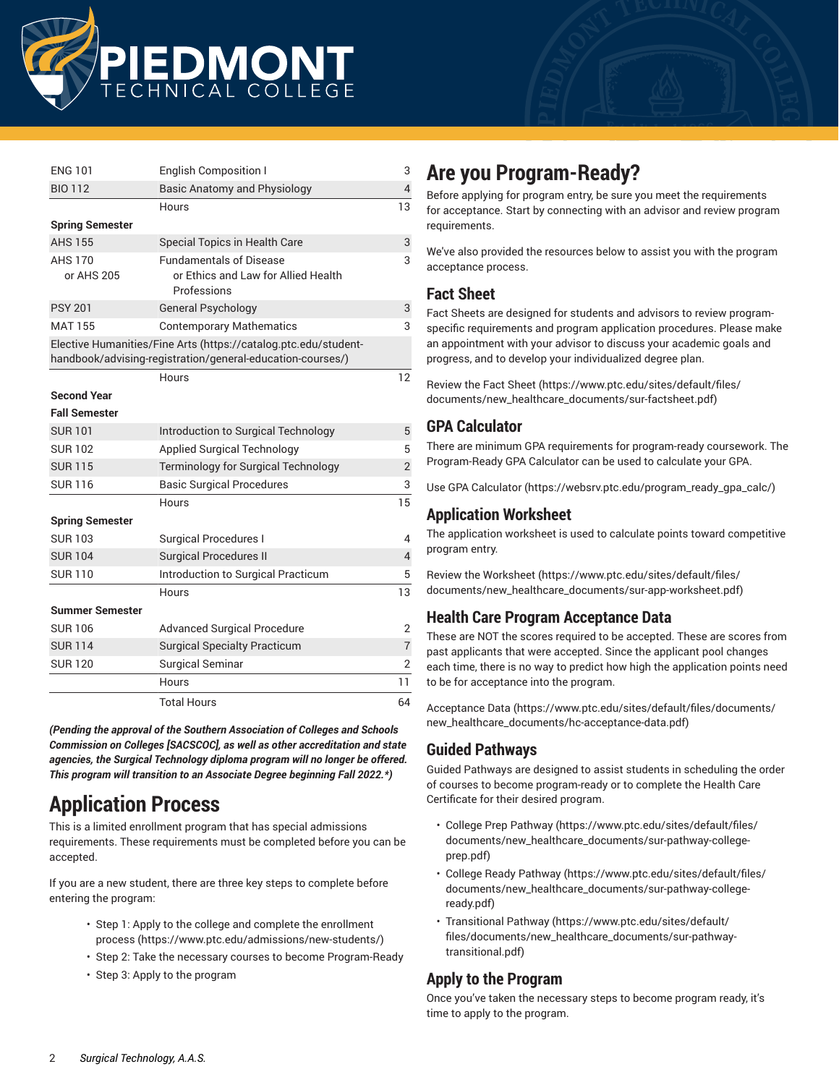

| <b>ENG 101</b>               | <b>English Composition I</b>                                                                                                  | 3              |
|------------------------------|-------------------------------------------------------------------------------------------------------------------------------|----------------|
| <b>BIO 112</b>               | Basic Anatomy and Physiology                                                                                                  | $\overline{4}$ |
|                              | Hours                                                                                                                         | 13             |
| <b>Spring Semester</b>       |                                                                                                                               |                |
| <b>AHS 155</b>               | Special Topics in Health Care                                                                                                 | 3              |
| <b>AHS 170</b><br>or AHS 205 | <b>Fundamentals of Disease</b><br>or Ethics and Law for Allied Health<br>Professions                                          | 3              |
| <b>PSY 201</b>               | <b>General Psychology</b>                                                                                                     | 3              |
| <b>MAT 155</b>               | <b>Contemporary Mathematics</b>                                                                                               | 3              |
|                              | Elective Humanities/Fine Arts (https://catalog.ptc.edu/student-<br>handbook/advising-registration/general-education-courses/) |                |
|                              | Hours                                                                                                                         | 12             |
| <b>Second Year</b>           |                                                                                                                               |                |
| <b>Fall Semester</b>         |                                                                                                                               |                |
| <b>SUR101</b>                | Introduction to Surgical Technology                                                                                           | 5              |
| <b>SUR102</b>                | <b>Applied Surgical Technology</b>                                                                                            | 5              |
| <b>SUR115</b>                | Terminology for Surgical Technology                                                                                           | $\overline{2}$ |
| <b>SUR116</b>                | <b>Basic Surgical Procedures</b>                                                                                              | 3              |
|                              | Hours                                                                                                                         | 15             |
| <b>Spring Semester</b>       |                                                                                                                               |                |
| <b>SUR103</b>                | <b>Surgical Procedures I</b>                                                                                                  | 4              |
| <b>SUR104</b>                | <b>Surgical Procedures II</b>                                                                                                 | $\overline{4}$ |
| <b>SUR110</b>                | Introduction to Surgical Practicum                                                                                            | 5              |
|                              | Hours                                                                                                                         | 13             |
| Summer Semester              |                                                                                                                               |                |
| <b>SUR106</b>                | <b>Advanced Surgical Procedure</b>                                                                                            | $\overline{2}$ |
| <b>SUR114</b>                | <b>Surgical Specialty Practicum</b>                                                                                           | $\overline{7}$ |
| <b>SUR120</b>                | Surgical Seminar                                                                                                              | $\overline{2}$ |
|                              | Hours                                                                                                                         | 11             |
|                              | <b>Total Hours</b>                                                                                                            | 64             |

*(Pending the approval of the Southern Association of Colleges and Schools Commission on Colleges [SACSCOC], as well as other accreditation and state agencies, the Surgical Technology diploma program will no longer be offered. This program will transition to an Associate Degree beginning Fall 2022.\*)*

# **Application Process**

This is a limited enrollment program that has special admissions requirements. These requirements must be completed before you can be accepted.

If you are a new student, there are three key steps to complete before entering the program:

- Step 1: Apply to the college and complete the [enrollment](https://www.ptc.edu/admissions/new-students/) [process \(https://www.ptc.edu/admissions/new-students/\)](https://www.ptc.edu/admissions/new-students/)
- Step 2: Take the necessary courses to become Program-Ready
- Step 3: Apply to the program

# **Are you Program-Ready?**

Before applying for program entry, be sure you meet the requirements for acceptance. Start by connecting with an advisor and review program requirements.

We've also provided the resources below to assist you with the program acceptance process.

### **Fact Sheet**

Fact Sheets are designed for students and advisors to review programspecific requirements and program application procedures. Please make an appointment with your advisor to discuss your academic goals and progress, and to develop your individualized degree plan.

[Review](https://www.ptc.edu/sites/default/files/documents/new_healthcare_documents/sur-factsheet.pdf) the Fact Sheet ([https://www.ptc.edu/sites/default/files/](https://www.ptc.edu/sites/default/files/documents/new_healthcare_documents/sur-factsheet.pdf) [documents/new\\_healthcare\\_documents/sur-factsheet.pdf\)](https://www.ptc.edu/sites/default/files/documents/new_healthcare_documents/sur-factsheet.pdf)

### **GPA Calculator**

There are minimum GPA requirements for program-ready coursework. The Program-Ready GPA Calculator can be used to calculate your GPA.

Use GPA [Calculator](https://websrv.ptc.edu/program_ready_gpa_calc/) ([https://websrv.ptc.edu/program\\_ready\\_gpa\\_calc/](https://websrv.ptc.edu/program_ready_gpa_calc/))

# **Application Worksheet**

The application worksheet is used to calculate points toward competitive program entry.

Review the [Worksheet](https://www.ptc.edu/sites/default/files/documents/new_healthcare_documents/sur-app-worksheet.pdf) ([https://www.ptc.edu/sites/default/files/](https://www.ptc.edu/sites/default/files/documents/new_healthcare_documents/sur-app-worksheet.pdf) [documents/new\\_healthcare\\_documents/sur-app-worksheet.pdf\)](https://www.ptc.edu/sites/default/files/documents/new_healthcare_documents/sur-app-worksheet.pdf)

# **Health Care Program Acceptance Data**

These are NOT the scores required to be accepted. These are scores from past applicants that were accepted. Since the applicant pool changes each time, there is no way to predict how high the application points need to be for acceptance into the program.

[Acceptance Data \(https://www.ptc.edu/sites/default/files/documents/](https://www.ptc.edu/sites/default/files/documents/new_healthcare_documents/hc-acceptance-data.pdf) [new\\_healthcare\\_documents/hc-acceptance-data.pdf](https://www.ptc.edu/sites/default/files/documents/new_healthcare_documents/hc-acceptance-data.pdf))

# **Guided Pathways**

Guided Pathways are designed to assist students in scheduling the order of courses to become program-ready or to complete the Health Care Certificate for their desired program.

- College Prep [Pathway \(https://www.ptc.edu/sites/default/files/](https://www.ptc.edu/sites/default/files/documents/new_healthcare_documents/sur-pathway-college-prep.pdf) [documents/new\\_healthcare\\_documents/sur-pathway-college](https://www.ptc.edu/sites/default/files/documents/new_healthcare_documents/sur-pathway-college-prep.pdf)[prep.pdf](https://www.ptc.edu/sites/default/files/documents/new_healthcare_documents/sur-pathway-college-prep.pdf))
- College Ready [Pathway \(https://www.ptc.edu/sites/default/files/](https://www.ptc.edu/sites/default/files/documents/new_healthcare_documents/sur-pathway-college-ready.pdf) [documents/new\\_healthcare\\_documents/sur-pathway-college](https://www.ptc.edu/sites/default/files/documents/new_healthcare_documents/sur-pathway-college-ready.pdf)[ready.pdf\)](https://www.ptc.edu/sites/default/files/documents/new_healthcare_documents/sur-pathway-college-ready.pdf)
- [Transitional](https://www.ptc.edu/sites/default/files/documents/new_healthcare_documents/sur-pathway-transitional.pdf) Pathway ([https://www.ptc.edu/sites/default/](https://www.ptc.edu/sites/default/files/documents/new_healthcare_documents/sur-pathway-transitional.pdf) [files/documents/new\\_healthcare\\_documents/sur-pathway](https://www.ptc.edu/sites/default/files/documents/new_healthcare_documents/sur-pathway-transitional.pdf)[transitional.pdf](https://www.ptc.edu/sites/default/files/documents/new_healthcare_documents/sur-pathway-transitional.pdf))

# **Apply to the Program**

Once you've taken the necessary steps to become program ready, it's time to apply to the program.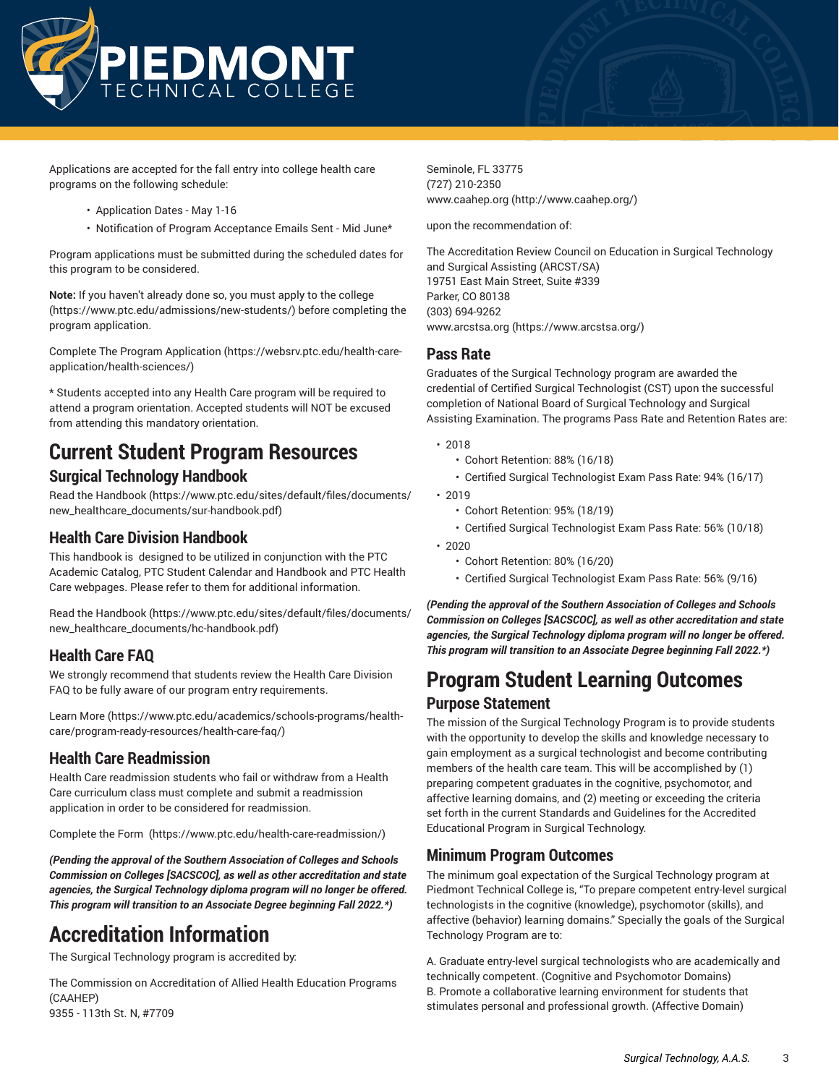

Applications are accepted for the fall entry into college health care programs on the following schedule:

- Application Dates May 1-16
- Notification of Program Acceptance Emails Sent Mid June\*

Program applications must be submitted during the scheduled dates for this program to be considered.

**Note:** If you haven't already done so, you must apply to the [college](https://www.ptc.edu/admissions/new-students/) (<https://www.ptc.edu/admissions/new-students/>) before completing the program application.

Complete The Program [Application \(https://websrv.ptc.edu/health-care](https://websrv.ptc.edu/health-care-application/health-sciences/)[application/health-sciences/](https://websrv.ptc.edu/health-care-application/health-sciences/))

\* Students accepted into any Health Care program will be required to attend a program orientation. Accepted students will NOT be excused from attending this mandatory orientation.

# **Current Student Program Resources Surgical Technology Handbook**

[Read the Handbook \(https://www.ptc.edu/sites/default/files/documents/](https://www.ptc.edu/sites/default/files/documents/new_healthcare_documents/sur-handbook.pdf) [new\\_healthcare\\_documents/sur-handbook.pdf](https://www.ptc.edu/sites/default/files/documents/new_healthcare_documents/sur-handbook.pdf))

## **Health Care Division Handbook**

This handbook is designed to be utilized in conjunction with the PTC Academic Catalog, PTC Student Calendar and Handbook and PTC Health Care webpages. Please refer to them for additional information.

[Read the Handbook \(https://www.ptc.edu/sites/default/files/documents/](https://www.ptc.edu/sites/default/files/documents/new_healthcare_documents/hc-handbook.pdf) [new\\_healthcare\\_documents/hc-handbook.pdf\)](https://www.ptc.edu/sites/default/files/documents/new_healthcare_documents/hc-handbook.pdf)

# **Health Care FAQ**

We strongly recommend that students review the Health Care Division FAQ to be fully aware of our program entry requirements.

[Learn](https://www.ptc.edu/academics/schools-programs/health-care/program-ready-resources/health-care-faq/) More [\(https://www.ptc.edu/academics/schools-programs/health](https://www.ptc.edu/academics/schools-programs/health-care/program-ready-resources/health-care-faq/)[care/program-ready-resources/health-care-faq/\)](https://www.ptc.edu/academics/schools-programs/health-care/program-ready-resources/health-care-faq/)

### **Health Care Readmission**

Health Care readmission students who fail or withdraw from a Health Care curriculum class must complete and submit a readmission application in order to be considered for readmission.

[Complete](https://www.ptc.edu/health-care-readmission/) the Form [\(https://www.ptc.edu/health-care-readmission/\)](https://www.ptc.edu/health-care-readmission/)

*(Pending the approval of the Southern Association of Colleges and Schools Commission on Colleges [SACSCOC], as well as other accreditation and state agencies, the Surgical Technology diploma program will no longer be offered. This program will transition to an Associate Degree beginning Fall 2022.\*)*

# **Accreditation Information**

The Surgical Technology program is accredited by:

The Commission on Accreditation of Allied Health Education Programs (CAAHEP) 9355 - 113th St. N, #7709

Seminole, FL 33775 (727) 210-2350 [www.caahep.org](http://www.caahep.org/) [\(http://www.caahep.org/\)](http://www.caahep.org/)

upon the recommendation of:

The Accreditation Review Council on Education in Surgical Technology and Surgical Assisting (ARCST/SA) 19751 East Main Street, Suite #339 Parker, CO 80138 (303) 694-9262 [www.arcstsa.org](https://www.arcstsa.org/) ([https://www.arcstsa.org/\)](https://www.arcstsa.org/)

#### **Pass Rate**

Graduates of the Surgical Technology program are awarded the credential of Certified Surgical Technologist (CST) upon the successful completion of National Board of Surgical Technology and Surgical Assisting Examination. The programs Pass Rate and Retention Rates are:

- 2018
	- Cohort Retention: 88% (16/18)
	- Certified Surgical Technologist Exam Pass Rate: 94% (16/17)

• 2019

- Cohort Retention: 95% (18/19)
- Certified Surgical Technologist Exam Pass Rate: 56% (10/18)

• 2020

- Cohort Retention: 80% (16/20)
- Certified Surgical Technologist Exam Pass Rate: 56% (9/16)

*(Pending the approval of the Southern Association of Colleges and Schools Commission on Colleges [SACSCOC], as well as other accreditation and state agencies, the Surgical Technology diploma program will no longer be offered. This program will transition to an Associate Degree beginning Fall 2022.\*)*

# **Program Student Learning Outcomes Purpose Statement**

The mission of the Surgical Technology Program is to provide students with the opportunity to develop the skills and knowledge necessary to gain employment as a surgical technologist and become contributing members of the health care team. This will be accomplished by (1) preparing competent graduates in the cognitive, psychomotor, and affective learning domains, and (2) meeting or exceeding the criteria set forth in the current Standards and Guidelines for the Accredited Educational Program in Surgical Technology.

### **Minimum Program Outcomes**

The minimum goal expectation of the Surgical Technology program at Piedmont Technical College is, "To prepare competent entry-level surgical technologists in the cognitive (knowledge), psychomotor (skills), and affective (behavior) learning domains." Specially the goals of the Surgical Technology Program are to:

A. Graduate entry-level surgical technologists who are academically and technically competent. (Cognitive and Psychomotor Domains) B. Promote a collaborative learning environment for students that stimulates personal and professional growth. (Affective Domain)